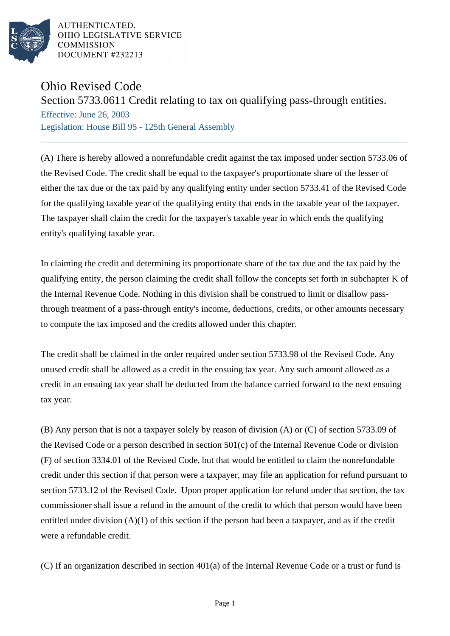

AUTHENTICATED. OHIO LEGISLATIVE SERVICE **COMMISSION** DOCUMENT #232213

## Ohio Revised Code

## Section 5733.0611 Credit relating to tax on qualifying pass-through entities.

Effective: June 26, 2003 Legislation: House Bill 95 - 125th General Assembly

(A) There is hereby allowed a nonrefundable credit against the tax imposed under section 5733.06 of the Revised Code. The credit shall be equal to the taxpayer's proportionate share of the lesser of either the tax due or the tax paid by any qualifying entity under section 5733.41 of the Revised Code for the qualifying taxable year of the qualifying entity that ends in the taxable year of the taxpayer. The taxpayer shall claim the credit for the taxpayer's taxable year in which ends the qualifying entity's qualifying taxable year.

In claiming the credit and determining its proportionate share of the tax due and the tax paid by the qualifying entity, the person claiming the credit shall follow the concepts set forth in subchapter K of the Internal Revenue Code. Nothing in this division shall be construed to limit or disallow passthrough treatment of a pass-through entity's income, deductions, credits, or other amounts necessary to compute the tax imposed and the credits allowed under this chapter.

The credit shall be claimed in the order required under section 5733.98 of the Revised Code. Any unused credit shall be allowed as a credit in the ensuing tax year. Any such amount allowed as a credit in an ensuing tax year shall be deducted from the balance carried forward to the next ensuing tax year.

(B) Any person that is not a taxpayer solely by reason of division (A) or (C) of section 5733.09 of the Revised Code or a person described in section 501(c) of the Internal Revenue Code or division (F) of section 3334.01 of the Revised Code, but that would be entitled to claim the nonrefundable credit under this section if that person were a taxpayer, may file an application for refund pursuant to section 5733.12 of the Revised Code. Upon proper application for refund under that section, the tax commissioner shall issue a refund in the amount of the credit to which that person would have been entitled under division (A)(1) of this section if the person had been a taxpayer, and as if the credit were a refundable credit.

(C) If an organization described in section 401(a) of the Internal Revenue Code or a trust or fund is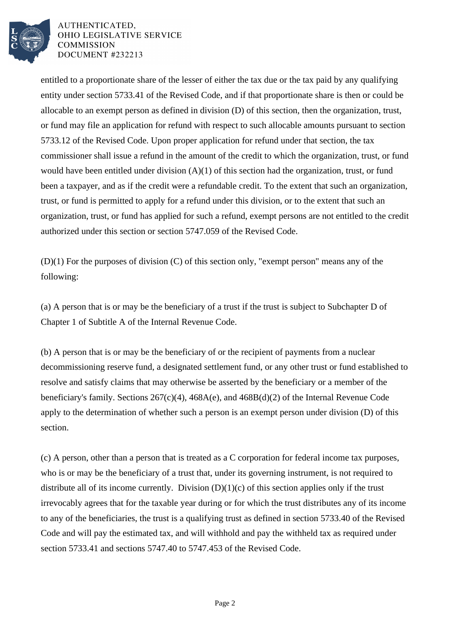

AUTHENTICATED. OHIO LEGISLATIVE SERVICE **COMMISSION** DOCUMENT #232213

entitled to a proportionate share of the lesser of either the tax due or the tax paid by any qualifying entity under section 5733.41 of the Revised Code, and if that proportionate share is then or could be allocable to an exempt person as defined in division (D) of this section, then the organization, trust, or fund may file an application for refund with respect to such allocable amounts pursuant to section 5733.12 of the Revised Code. Upon proper application for refund under that section, the tax commissioner shall issue a refund in the amount of the credit to which the organization, trust, or fund would have been entitled under division (A)(1) of this section had the organization, trust, or fund been a taxpayer, and as if the credit were a refundable credit. To the extent that such an organization, trust, or fund is permitted to apply for a refund under this division, or to the extent that such an organization, trust, or fund has applied for such a refund, exempt persons are not entitled to the credit authorized under this section or section 5747.059 of the Revised Code.

(D)(1) For the purposes of division (C) of this section only, "exempt person" means any of the following:

(a) A person that is or may be the beneficiary of a trust if the trust is subject to Subchapter D of Chapter 1 of Subtitle A of the Internal Revenue Code.

(b) A person that is or may be the beneficiary of or the recipient of payments from a nuclear decommissioning reserve fund, a designated settlement fund, or any other trust or fund established to resolve and satisfy claims that may otherwise be asserted by the beneficiary or a member of the beneficiary's family. Sections 267(c)(4), 468A(e), and 468B(d)(2) of the Internal Revenue Code apply to the determination of whether such a person is an exempt person under division (D) of this section.

(c) A person, other than a person that is treated as a C corporation for federal income tax purposes, who is or may be the beneficiary of a trust that, under its governing instrument, is not required to distribute all of its income currently. Division  $(D)(1)(c)$  of this section applies only if the trust irrevocably agrees that for the taxable year during or for which the trust distributes any of its income to any of the beneficiaries, the trust is a qualifying trust as defined in section 5733.40 of the Revised Code and will pay the estimated tax, and will withhold and pay the withheld tax as required under section 5733.41 and sections 5747.40 to 5747.453 of the Revised Code.